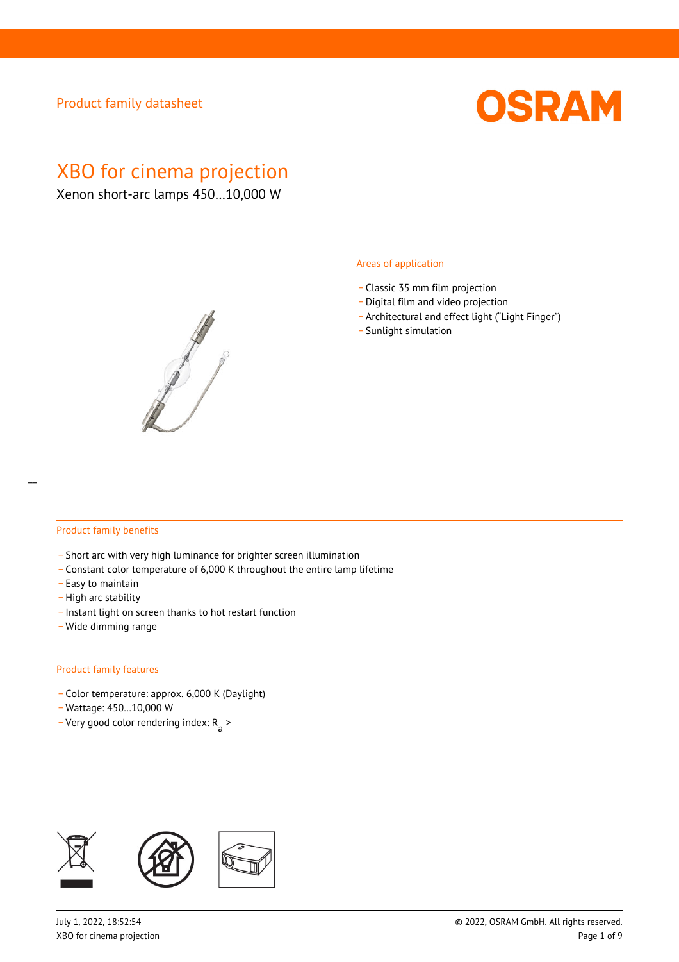

# XBO for cinema projection

Xenon short-arc lamps 450…10,000 W



#### Areas of application

- \_ Classic 35 mm film projection
- \_ Digital film and video projection
- \_ Architectural and effect light ("Light Finger")
- Sunlight simulation

#### Product family benefits

- \_ Short arc with very high luminance for brighter screen illumination
- \_ Constant color temperature of 6,000 K throughout the entire lamp lifetime
- \_ Easy to maintain
- High arc stability
- \_ Instant light on screen thanks to hot restart function
- \_ Wide dimming range

#### Product family features

- \_ Color temperature: approx. 6,000 K (Daylight)
- \_ Wattage: 450…10,000 W
- Very good color rendering index:  $R_{\text{a}}$  >

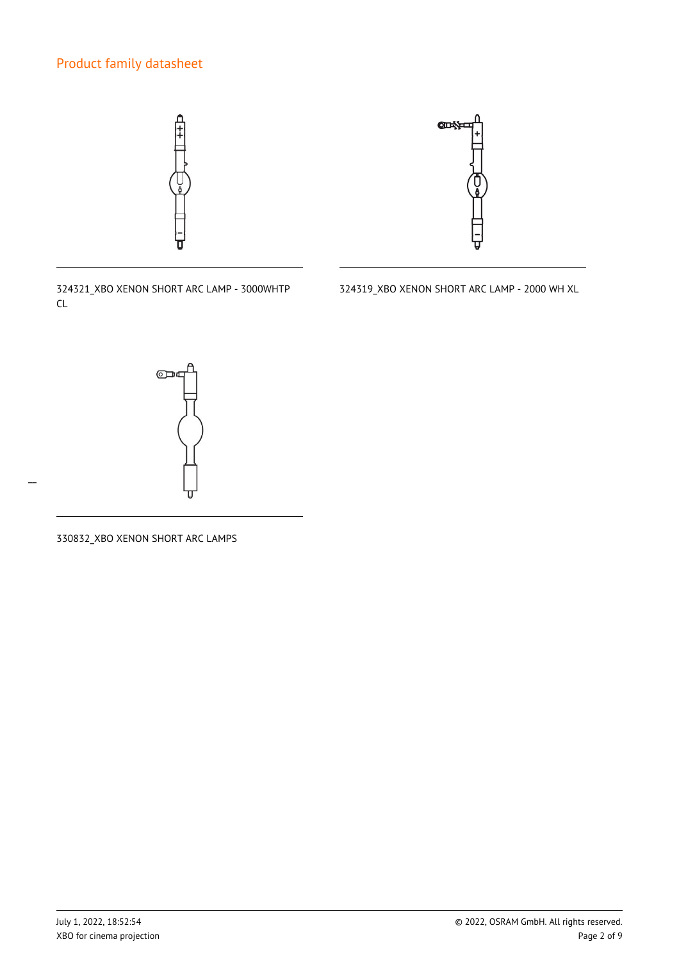



324321\_XBO XENON SHORT ARC LAMP - 3000WHTP CL

324319\_XBO XENON SHORT ARC LAMP - 2000 WH XL



330832\_XBO XENON SHORT ARC LAMPS

 $\overline{a}$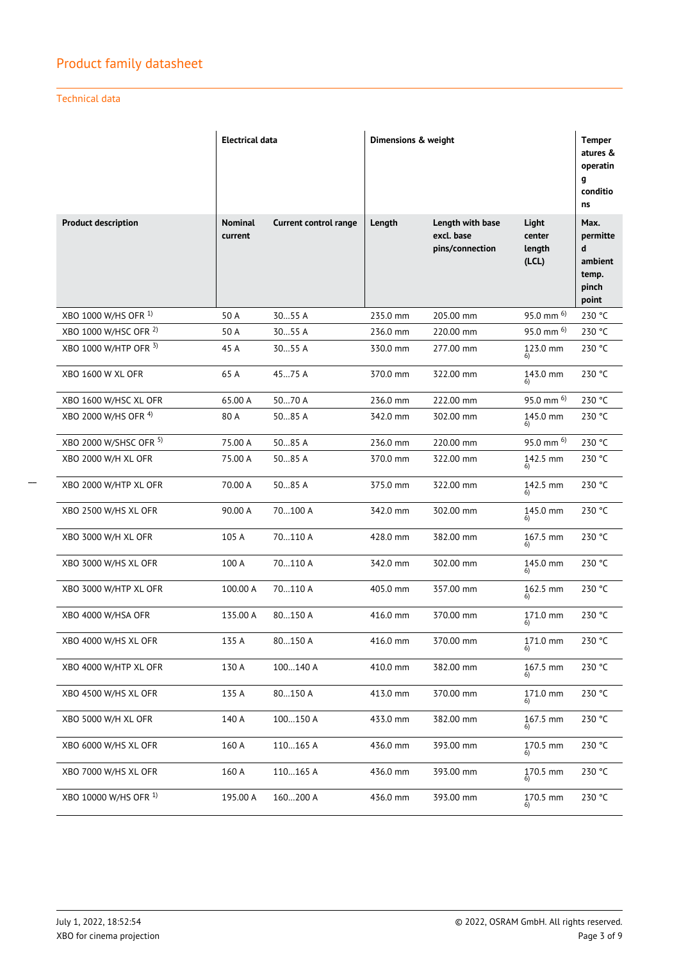### Technical data

|                            | <b>Electrical data</b>    |                              | Dimensions & weight |                                                   |                                   | <b>Temper</b><br>atures &<br>operatin<br>g<br>conditio<br>ns |
|----------------------------|---------------------------|------------------------------|---------------------|---------------------------------------------------|-----------------------------------|--------------------------------------------------------------|
| <b>Product description</b> | <b>Nominal</b><br>current | <b>Current control range</b> | Length              | Length with base<br>excl. base<br>pins/connection | Light<br>center<br>length<br>(CL) | Max.<br>permitte<br>d<br>ambient<br>temp.<br>pinch<br>point  |
| XBO 1000 W/HS OFR 1)       | 50 A                      | 3055 A                       | 235.0 mm            | 205.00 mm                                         | 95.0 mm <sup>6)</sup>             | 230 °C                                                       |
| XBO 1000 W/HSC OFR 2)      | 50 A                      | 3055 A                       | 236.0 mm            | 220.00 mm                                         | 95.0 mm $^{6)}$                   | 230 °C                                                       |
| XBO 1000 W/HTP OFR 3)      | 45 A                      | 3055 A                       | 330.0 mm            | 277.00 mm                                         | 123.0 mm                          | 230 °C                                                       |
| <b>XBO 1600 W XL OFR</b>   | 65 A                      | 4575 A                       | 370.0 mm            | 322.00 mm                                         | 143.0 mm                          | 230 °C                                                       |
| XBO 1600 W/HSC XL OFR      | 65.00 A                   | 5070 A                       | 236.0 mm            | 222.00 mm                                         | $95.0$ mm $^{6)}$                 | 230 °C                                                       |
| XBO 2000 W/HS OFR 4)       | 80 A                      | 5085 A                       | 342.0 mm            | 302.00 mm                                         | 145.0 mm                          | 230 °C                                                       |
| XBO 2000 W/SHSC OFR 5)     | 75.00 A                   | 5085 A                       | 236.0 mm            | 220.00 mm                                         | 95.0 mm $^{6)}$                   | 230 °C                                                       |
| XBO 2000 W/H XL OFR        | 75.00 A                   | 5085 A                       | 370.0 mm            | 322.00 mm                                         | 142.5 mm<br>6)                    | 230 °C                                                       |
| XBO 2000 W/HTP XL OFR      | 70.00 A                   | 5085 A                       | 375.0 mm            | 322.00 mm                                         | 142.5 mm                          | 230 °C                                                       |
| XBO 2500 W/HS XL OFR       | 90.00 A                   | 70100 A                      | 342.0 mm            | 302.00 mm                                         | 145.0 mm                          | 230 °C                                                       |
| XBO 3000 W/H XL OFR        | 105 A                     | 70110 A                      | 428.0 mm            | 382.00 mm                                         | 167.5 mm                          | 230 °C                                                       |
| XBO 3000 W/HS XL OFR       | 100 A                     | 70110 A                      | 342.0 mm            | 302.00 mm                                         | 145.0 mm                          | 230 °C                                                       |
| XBO 3000 W/HTP XL OFR      | 100.00 A                  | 70110 A                      | 405.0 mm            | 357.00 mm                                         | 162.5 mm                          | 230 °C                                                       |
| XBO 4000 W/HSA OFR         | 135.00 A                  | 80150 A                      | 416.0 mm            | 370.00 mm                                         | 171.0 mm                          | 230 °C                                                       |
| XBO 4000 W/HS XL OFR       | 135 A                     | 80150 A                      | 416.0 mm            | 370.00 mm                                         | 171.0 mm                          | 230 °C                                                       |
| XBO 4000 W/HTP XL OFR      | 130 A                     | 100140 A                     | 410.0 mm            | 382.00 mm                                         | $167.5$ mm                        | 230 °C                                                       |
| XBO 4500 W/HS XL OFR       | 135 A                     | 80150 A                      | 413.0 mm            | 370.00 mm                                         | 171.0 mm                          | 230 °C                                                       |
| XBO 5000 W/H XL OFR        | 140 A                     | 100150 A                     | 433.0 mm            | 382.00 mm                                         | 167.5 mm<br>6)                    | 230 °C                                                       |
| XBO 6000 W/HS XL OFR       | 160 A                     | 110165 A                     | 436.0 mm            | 393.00 mm                                         | 170.5 mm                          | 230 °C                                                       |
| XBO 7000 W/HS XL OFR       | 160 A                     | 110165 A                     | 436.0 mm            | 393.00 mm                                         | 170.5 mm                          | 230 °C                                                       |
| XBO 10000 W/HS OFR 1)      | 195.00 A                  | 160200 A                     | 436.0 mm            | 393.00 mm                                         | 170.5 mm                          | 230 °C                                                       |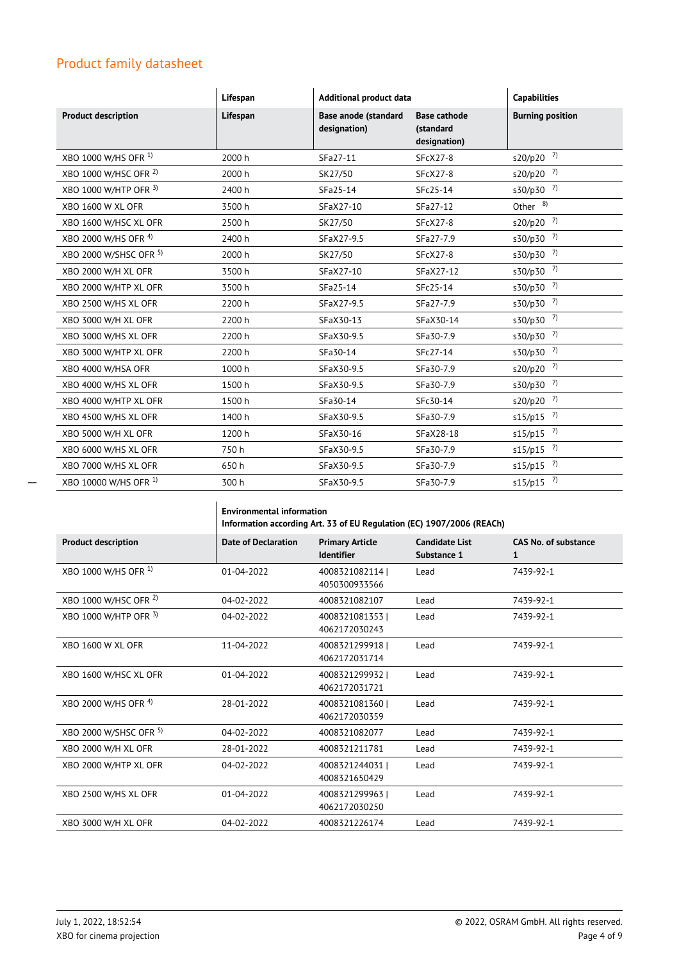|                                 | Lifespan | Additional product data                     |                                                  | <b>Capabilities</b>     |
|---------------------------------|----------|---------------------------------------------|--------------------------------------------------|-------------------------|
| <b>Product description</b>      | Lifespan | <b>Base anode (standard</b><br>designation) | <b>Base cathode</b><br>(standard<br>designation) | <b>Burning position</b> |
| XBO 1000 W/HS OFR <sup>1)</sup> | 2000 h   | SFa27-11                                    | $SFCX27-8$                                       | $s20/p20$ <sup>7)</sup> |
| XBO 1000 W/HSC OFR 2)           | 2000 h   | SK27/50                                     | <b>SFcX27-8</b>                                  | s20/p20 <sup>7)</sup>   |
| XBO 1000 W/HTP OFR 3)           | 2400 h   | SFa25-14                                    | SFc25-14                                         | s30/p30 <sup>7)</sup>   |
| <b>XBO 1600 W XL OFR</b>        | 3500h    | SFaX27-10                                   | SFa27-12                                         | Other $8)$              |
| XBO 1600 W/HSC XL OFR           | 2500 h   | SK27/50                                     | <b>SFcX27-8</b>                                  | $s20/p20$ <sup>7)</sup> |
| XBO 2000 W/HS OFR 4)            | 2400 h   | SFaX27-9.5                                  | SFa27-7.9                                        | $s30/p30$ <sup>7)</sup> |
| XBO 2000 W/SHSC OFR 5)          | 2000 h   | SK27/50                                     | <b>SFcX27-8</b>                                  | $s30/p30$ <sup>7)</sup> |
| XBO 2000 W/H XL OFR             | 3500h    | SFaX27-10                                   | SFaX27-12                                        | $s30/p30$ <sup>7)</sup> |
| XBO 2000 W/HTP XL OFR           | 3500h    | SFa25-14                                    | SFc25-14                                         | $s30/p30$ <sup>7)</sup> |
| XBO 2500 W/HS XL OFR            | 2200 h   | SFaX27-9.5                                  | SFa27-7.9                                        | s30/p30 <sup>7)</sup>   |
| XBO 3000 W/H XL OFR             | 2200 h   | SFaX30-13                                   | SFaX30-14                                        | s30/p30 <sup>7)</sup>   |
| XBO 3000 W/HS XL OFR            | 2200 h   | SFaX30-9.5                                  | SFa30-7.9                                        | s30/p30 <sup>7)</sup>   |
| XBO 3000 W/HTP XL OFR           | 2200 h   | SFa30-14                                    | SFc27-14                                         | s30/p30 <sup>7)</sup>   |
| XBO 4000 W/HSA OFR              | 1000 h   | SFaX30-9.5                                  | SFa30-7.9                                        | s20/p20 <sup>7)</sup>   |
| XBO 4000 W/HS XL OFR            | 1500 h   | SFaX30-9.5                                  | SFa30-7.9                                        | $s30/p30$ <sup>7)</sup> |
| XBO 4000 W/HTP XL OFR           | 1500h    | SFa30-14                                    | SFc30-14                                         | s20/p20 <sup>7)</sup>   |
| XBO 4500 W/HS XL OFR            | 1400 h   | SFaX30-9.5                                  | SFa30-7.9                                        | $s15/p15$ <sup>7)</sup> |
| XBO 5000 W/H XL OFR             | 1200 h   | SFaX30-16                                   | SFaX28-18                                        | $s15/p15$ <sup>7)</sup> |
| XBO 6000 W/HS XL OFR            | 750h     | SFaX30-9.5                                  | SFa30-7.9                                        | $s15/p15$ <sup>7)</sup> |
| XBO 7000 W/HS XL OFR            | 650h     | SFaX30-9.5                                  | SFa30-7.9                                        | $s15/p15$ <sup>7)</sup> |
| XBO 10000 W/HS OFR 1)           | 300 h    | SFaX30-9.5                                  | SFa30-7.9                                        | $s15/p15$ <sup>7)</sup> |

|                                 | <b>Environmental information</b><br>Information according Art. 33 of EU Regulation (EC) 1907/2006 (REACh) |                                             |                                      |                                             |
|---------------------------------|-----------------------------------------------------------------------------------------------------------|---------------------------------------------|--------------------------------------|---------------------------------------------|
| <b>Product description</b>      | <b>Date of Declaration</b>                                                                                | <b>Primary Article</b><br><b>Identifier</b> | <b>Candidate List</b><br>Substance 1 | <b>CAS No. of substance</b><br>$\mathbf{1}$ |
| XBO 1000 W/HS OFR <sup>1)</sup> | $01 - 04 - 2022$                                                                                          | 4008321082114<br>4050300933566              | Lead                                 | 7439-92-1                                   |
| XBO 1000 W/HSC OFR 2)           | 04-02-2022                                                                                                | 4008321082107                               | Lead                                 | 7439-92-1                                   |
| XBO 1000 W/HTP OFR 3)           | 04-02-2022                                                                                                | 40083210813531<br>4062172030243             | Lead                                 | 7439-92-1                                   |
| <b>XBO 1600 W XL OFR</b>        | 11-04-2022                                                                                                | 4008321299918  <br>4062172031714            | Lead                                 | 7439-92-1                                   |
| XBO 1600 W/HSC XL OFR           | $01 - 04 - 2022$                                                                                          | 40083212999321<br>4062172031721             | Lead                                 | 7439-92-1                                   |
| XBO 2000 W/HS OFR 4)            | 28-01-2022                                                                                                | 4008321081360<br>4062172030359              | Lead                                 | 7439-92-1                                   |
| XBO 2000 W/SHSC OFR 5)          | $04 - 02 - 2022$                                                                                          | 4008321082077                               | Lead                                 | 7439-92-1                                   |
| XBO 2000 W/H XL OFR             | 28-01-2022                                                                                                | 4008321211781                               | Lead                                 | 7439-92-1                                   |
| XBO 2000 W/HTP XL OFR           | 04-02-2022                                                                                                | 4008321244031  <br>4008321650429            | Lead                                 | 7439-92-1                                   |
| XBO 2500 W/HS XL OFR            | $01 - 04 - 2022$                                                                                          | 4008321299963<br>4062172030250              | Lead                                 | 7439-92-1                                   |
| XBO 3000 W/H XL OFR             | 04-02-2022                                                                                                | 4008321226174                               | Lead                                 | 7439-92-1                                   |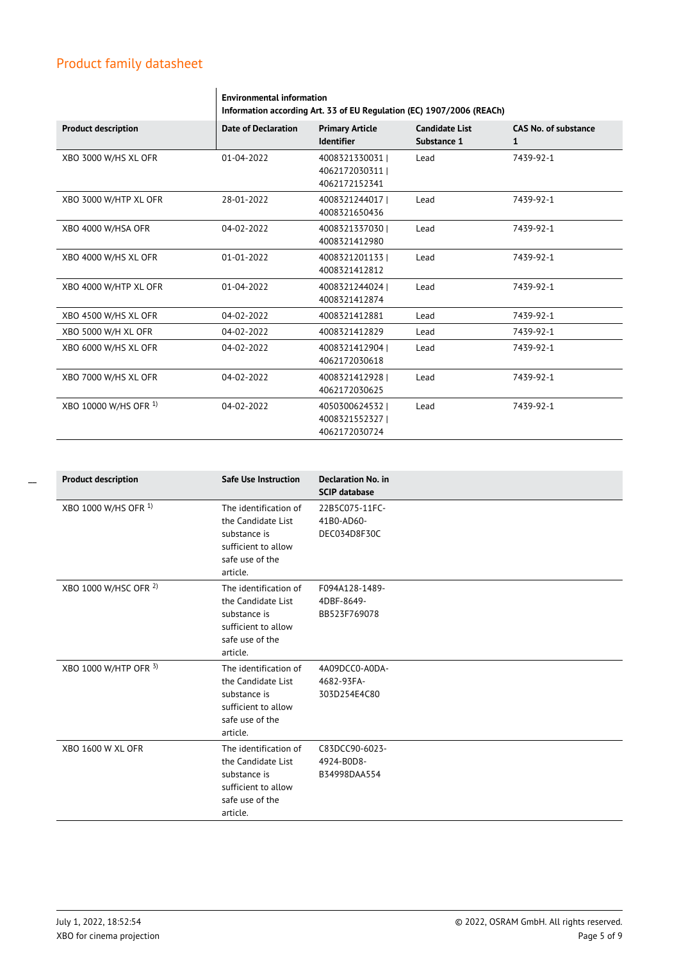|                            | <b>Environmental information</b><br>Information according Art. 33 of EU Regulation (EC) 1907/2006 (REACh) |                                                     |                                      |                                  |
|----------------------------|-----------------------------------------------------------------------------------------------------------|-----------------------------------------------------|--------------------------------------|----------------------------------|
| <b>Product description</b> | <b>Date of Declaration</b>                                                                                | <b>Primary Article</b><br><b>Identifier</b>         | <b>Candidate List</b><br>Substance 1 | <b>CAS No. of substance</b><br>1 |
| XBO 3000 W/HS XL OFR       | $01 - 04 - 2022$                                                                                          | 4008321330031 l<br>4062172030311 l<br>4062172152341 | Lead                                 | 7439-92-1                        |
| XBO 3000 W/HTP XL OFR      | 28-01-2022                                                                                                | 40083212440171<br>4008321650436                     | Lead                                 | 7439-92-1                        |
| XBO 4000 W/HSA OFR         | $04 - 02 - 2022$                                                                                          | 40083213370301<br>4008321412980                     | Lead                                 | 7439-92-1                        |
| XBO 4000 W/HS XL OFR       | $01 - 01 - 2022$                                                                                          | 40083212011331<br>4008321412812                     | Lead                                 | 7439-92-1                        |
| XBO 4000 W/HTP XL OFR      | $01 - 04 - 2022$                                                                                          | 4008321244024<br>4008321412874                      | Lead                                 | 7439-92-1                        |
| XBO 4500 W/HS XL OFR       | 04-02-2022                                                                                                | 4008321412881                                       | Lead                                 | 7439-92-1                        |
| XBO 5000 W/H XL OFR        | 04-02-2022                                                                                                | 4008321412829                                       | Lead                                 | 7439-92-1                        |
| XBO 6000 W/HS XL OFR       | 04-02-2022                                                                                                | 4008321412904  <br>4062172030618                    | Lead                                 | 7439-92-1                        |
| XBO 7000 W/HS XL OFR       | 04-02-2022                                                                                                | 4008321412928  <br>4062172030625                    | Lead                                 | 7439-92-1                        |
| XBO 10000 W/HS OFR 1)      | 04-02-2022                                                                                                | 40503006245321<br>40083215523271<br>4062172030724   | Lead                                 | 7439-92-1                        |

| <b>Product description</b> | <b>Safe Use Instruction</b>                                                                                       | <b>Declaration No. in</b><br><b>SCIP database</b> |
|----------------------------|-------------------------------------------------------------------------------------------------------------------|---------------------------------------------------|
| XBO 1000 W/HS OFR 1)       | The identification of<br>the Candidate List<br>substance is<br>sufficient to allow<br>safe use of the<br>article. | 22B5C075-11FC-<br>41B0-AD60-<br>DEC034D8F30C      |
| XBO 1000 W/HSC OFR 2)      | The identification of<br>the Candidate List<br>substance is<br>sufficient to allow<br>safe use of the<br>article. | F094A128-1489-<br>4DBF-8649-<br>BB523F769078      |
| XBO 1000 W/HTP OFR 3)      | The identification of<br>the Candidate List<br>substance is<br>sufficient to allow<br>safe use of the<br>article. | 4A09DCC0-A0DA-<br>4682-93FA-<br>303D254E4C80      |
| <b>XBO 1600 W XL OFR</b>   | The identification of<br>the Candidate List<br>substance is<br>sufficient to allow<br>safe use of the<br>article. | C83DCC90-6023-<br>4924-B0D8-<br>B34998DAA554      |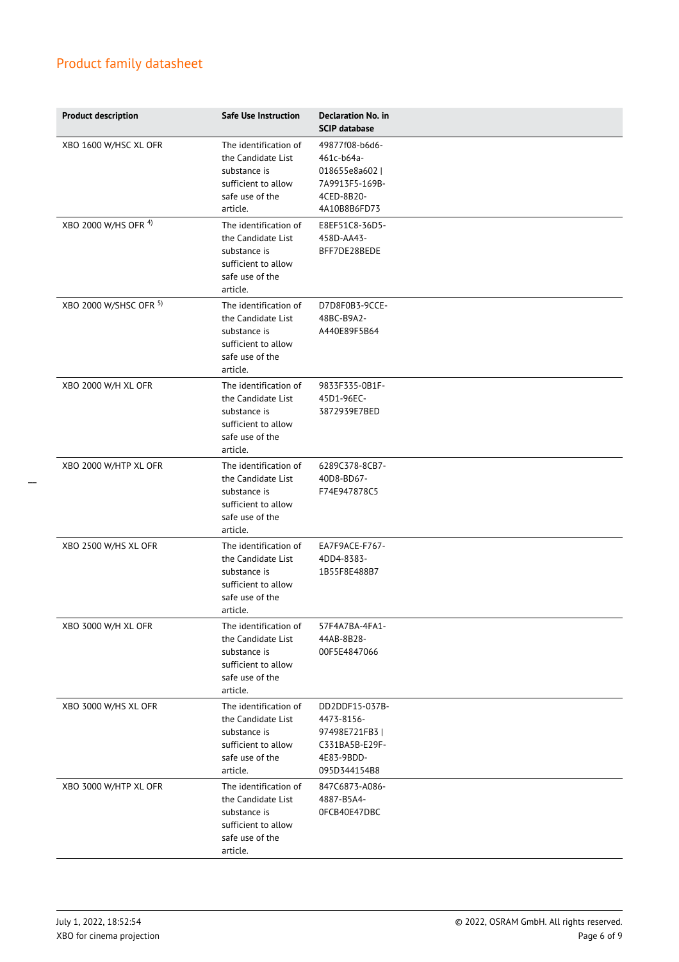| <b>Product description</b> | Safe Use Instruction                                                                                              | <b>Declaration No. in</b><br><b>SCIP database</b>                                              |
|----------------------------|-------------------------------------------------------------------------------------------------------------------|------------------------------------------------------------------------------------------------|
| XBO 1600 W/HSC XL OFR      | The identification of<br>the Candidate List<br>substance is<br>sufficient to allow<br>safe use of the<br>article. | 49877f08-b6d6-<br>461c-b64a-<br>018655e8a602  <br>7A9913F5-169B-<br>4CED-8B20-<br>4A10B8B6FD73 |
| XBO 2000 W/HS OFR 4)       | The identification of<br>the Candidate List<br>substance is<br>sufficient to allow<br>safe use of the<br>article. | E8EF51C8-36D5-<br>458D-AA43-<br>BFF7DE28BEDE                                                   |
| XBO 2000 W/SHSC OFR 5)     | The identification of<br>the Candidate List<br>substance is<br>sufficient to allow<br>safe use of the<br>article. | D7D8F0B3-9CCE-<br>48BC-B9A2-<br>A440E89F5B64                                                   |
| XBO 2000 W/H XL OFR        | The identification of<br>the Candidate List<br>substance is<br>sufficient to allow<br>safe use of the<br>article. | 9833F335-0B1F-<br>45D1-96EC-<br>3872939E7BED                                                   |
| XBO 2000 W/HTP XL OFR      | The identification of<br>the Candidate List<br>substance is<br>sufficient to allow<br>safe use of the<br>article. | 6289C378-8CB7-<br>40D8-BD67-<br>F74E947878C5                                                   |
| XBO 2500 W/HS XL OFR       | The identification of<br>the Candidate List<br>substance is<br>sufficient to allow<br>safe use of the<br>article. | EA7F9ACE-F767-<br>4DD4-8383-<br>1B55F8E488B7                                                   |
| XBO 3000 W/H XL OFR        | The identification of<br>the Candidate List<br>substance is<br>sufficient to allow<br>safe use of the<br>article. | 57F4A7BA-4FA1-<br>44AB-8B28-<br>00F5E4847066                                                   |
| XBO 3000 W/HS XL OFR       | The identification of<br>the Candidate List<br>substance is<br>sufficient to allow<br>safe use of the<br>article. | DD2DDF15-037B-<br>4473-8156-<br>97498E721FB3  <br>C331BA5B-E29F-<br>4E83-9BDD-<br>095D344154B8 |
| XBO 3000 W/HTP XL OFR      | The identification of<br>the Candidate List<br>substance is<br>sufficient to allow<br>safe use of the<br>article. | 847C6873-A086-<br>4887-B5A4-<br>OFCB40E47DBC                                                   |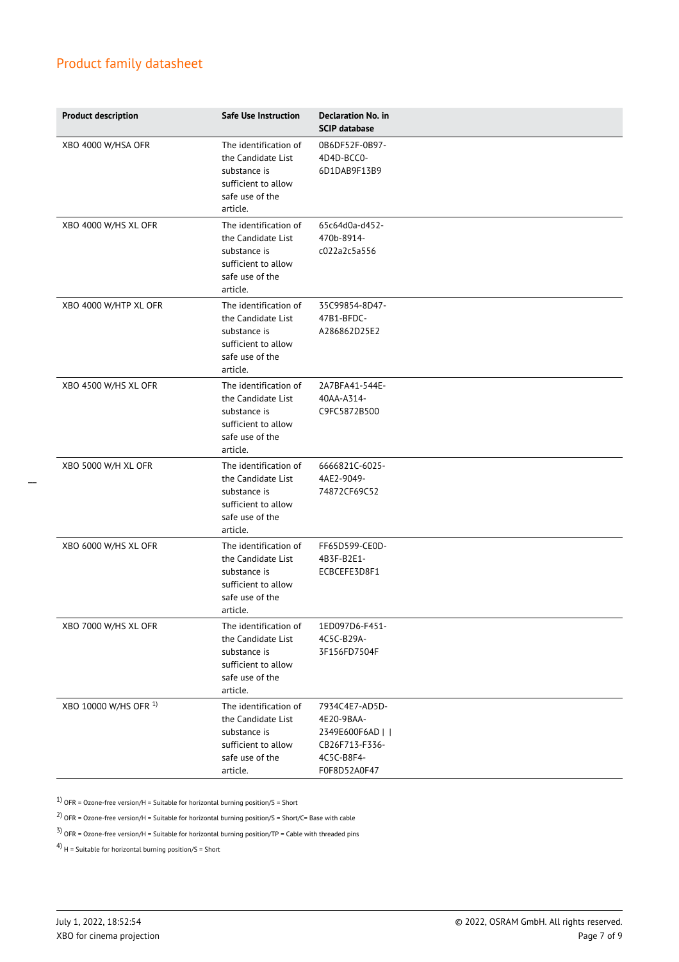| <b>Product description</b> | Safe Use Instruction                                                                                              | Declaration No. in<br><b>SCIP database</b>                                                       |
|----------------------------|-------------------------------------------------------------------------------------------------------------------|--------------------------------------------------------------------------------------------------|
| XBO 4000 W/HSA OFR         | The identification of<br>the Candidate List<br>substance is<br>sufficient to allow<br>safe use of the<br>article. | 0B6DF52F-0B97-<br>4D4D-BCC0-<br>6D1DAB9F13B9                                                     |
| XBO 4000 W/HS XL OFR       | The identification of<br>the Candidate List<br>substance is<br>sufficient to allow<br>safe use of the<br>article. | 65c64d0a-d452-<br>470b-8914-<br>c022a2c5a556                                                     |
| XBO 4000 W/HTP XL OFR      | The identification of<br>the Candidate List<br>substance is<br>sufficient to allow<br>safe use of the<br>article. | 35C99854-8D47-<br>47B1-BFDC-<br>A286862D25E2                                                     |
| XBO 4500 W/HS XL OFR       | The identification of<br>the Candidate List<br>substance is<br>sufficient to allow<br>safe use of the<br>article. | 2A7BFA41-544E-<br>40AA-A314-<br>C9FC5872B500                                                     |
| XBO 5000 W/H XL OFR        | The identification of<br>the Candidate List<br>substance is<br>sufficient to allow<br>safe use of the<br>article. | 6666821C-6025-<br>4AE2-9049-<br>74872CF69C52                                                     |
| XBO 6000 W/HS XL OFR       | The identification of<br>the Candidate List<br>substance is<br>sufficient to allow<br>safe use of the<br>article. | FF65D599-CE0D-<br>4B3F-B2E1-<br>ECBCEFE3D8F1                                                     |
| XBO 7000 W/HS XL OFR       | The identification of<br>the Candidate List<br>substance is<br>sufficient to allow<br>safe use of the<br>article. | 1ED097D6-F451-<br>4C5C-B29A-<br>3F156FD7504F                                                     |
| XBO 10000 W/HS OFR 1)      | The identification of<br>the Candidate List<br>substance is<br>sufficient to allow<br>safe use of the<br>article. | 7934C4E7-AD5D-<br>4E20-9BAA-<br>2349E600F6AD    <br>CB26F713-F336-<br>4C5C-B8F4-<br>F0F8D52A0F47 |

 $1)$  OFR = Ozone-free version/H = Suitable for horizontal burning position/S = Short

<sup>2)</sup> OFR = Ozone-free version/H = Suitable for horizontal burning position/S = Short/C= Base with cable

 $3)$  OFR = Ozone-free version/H = Suitable for horizontal burning position/TP = Cable with threaded pins

4)  $H =$  Suitable for horizontal burning position/S = Short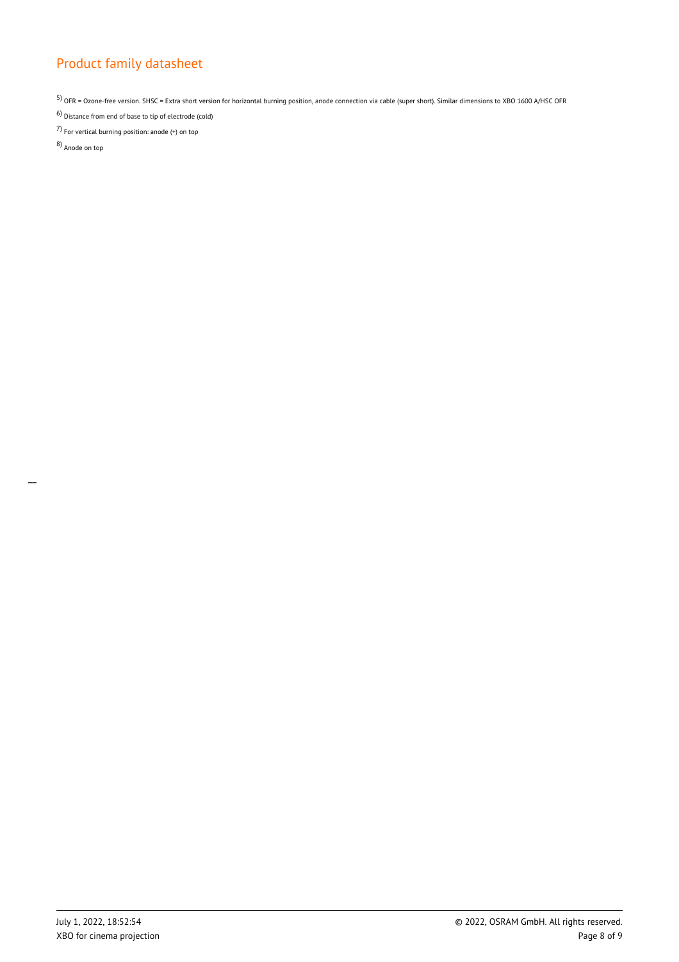5) OFR = Ozone-free version. SHSC = Extra short version for horizontal burning position, anode connection via cable (super short). Similar dimensions to XBO 1600 A/HSC OFR

6) Distance from end of base to tip of electrode (cold) 7) For vertical burning position: anode (+) on top

8) Anode on top

 $\overline{a}$